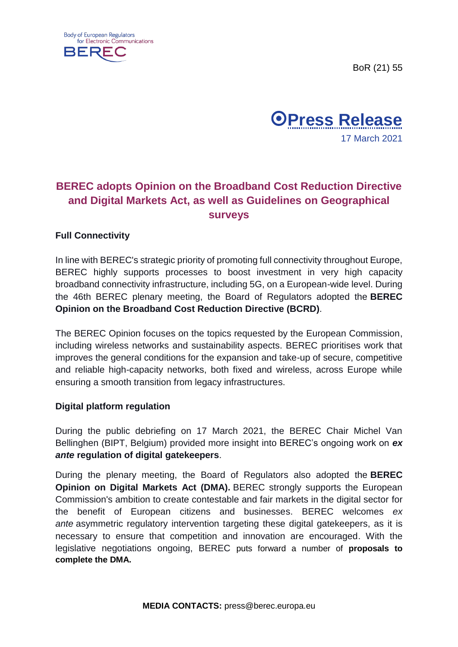





# **BEREC adopts Opinion on the Broadband Cost Reduction Directive and Digital Markets Act, as well as Guidelines on Geographical surveys**

## **Full Connectivity**

In line with BEREC's strategic priority of promoting full connectivity throughout Europe, BEREC highly supports processes to boost investment in very high capacity broadband connectivity infrastructure, including 5G, on a European-wide level. During the 46th BEREC plenary meeting, the Board of Regulators adopted the **BEREC Opinion on the Broadband Cost Reduction Directive (BCRD)**.

The BEREC Opinion focuses on the topics requested by the European Commission, including wireless networks and sustainability aspects. BEREC prioritises work that improves the general conditions for the expansion and take-up of secure, competitive and reliable high-capacity networks, both fixed and wireless, across Europe while ensuring a smooth transition from legacy infrastructures.

## **Digital platform regulation**

During the public debriefing on 17 March 2021, the BEREC Chair Michel Van Bellinghen (BIPT, Belgium) provided more insight into BEREC's ongoing work on *ex ante* **regulation of digital gatekeepers**.

During the plenary meeting, the Board of Regulators also adopted the **BEREC Opinion on Digital Markets Act (DMA).** BEREC strongly supports the European Commission's ambition to create contestable and fair markets in the digital sector for the benefit of European citizens and businesses. BEREC welcomes *ex ante* asymmetric regulatory intervention targeting these digital gatekeepers, as it is necessary to ensure that competition and innovation are encouraged. With the legislative negotiations ongoing, BEREC puts forward a number of **proposals to complete the DMA.**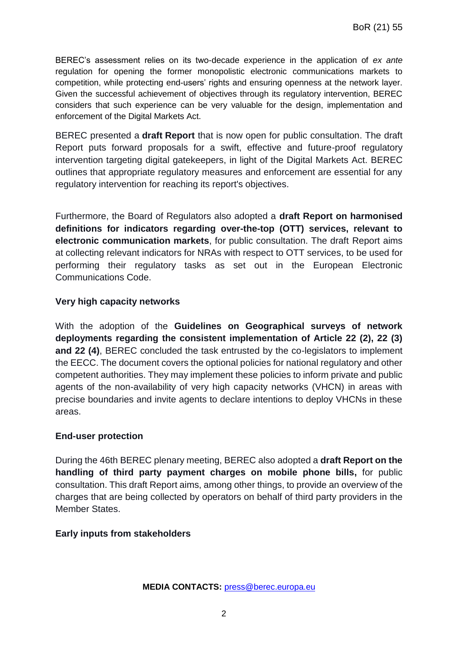BEREC's assessment relies on its two-decade experience in the application of *ex ante* regulation for opening the former monopolistic electronic communications markets to competition, while protecting end-users' rights and ensuring openness at the network layer. Given the successful achievement of objectives through its regulatory intervention, BEREC considers that such experience can be very valuable for the design, implementation and enforcement of the Digital Markets Act.

BEREC presented a **draft Report** that is now open for public consultation. The draft Report puts forward proposals for a swift, effective and future-proof regulatory intervention targeting digital gatekeepers, in light of the Digital Markets Act. BEREC outlines that appropriate regulatory measures and enforcement are essential for any regulatory intervention for reaching its report's objectives.

Furthermore, the Board of Regulators also adopted a **draft Report on harmonised definitions for indicators regarding over-the-top (OTT) services, relevant to electronic communication markets**, for public consultation. The draft Report aims at collecting relevant indicators for NRAs with respect to OTT services, to be used for performing their regulatory tasks as set out in the European Electronic Communications Code.

## **Very high capacity networks**

With the adoption of the **Guidelines on Geographical surveys of network deployments regarding the consistent implementation of Article 22 (2), 22 (3) and 22 (4)**, BEREC concluded the task entrusted by the co-legislators to implement the EECC. The document covers the optional policies for national regulatory and other competent authorities. They may implement these policies to inform private and public agents of the non-availability of very high capacity networks (VHCN) in areas with precise boundaries and invite agents to declare intentions to deploy VHCNs in these areas.

#### **End-user protection**

During the 46th BEREC plenary meeting, BEREC also adopted a **draft Report on the handling of third party payment charges on mobile phone bills,** for public consultation. This draft Report aims, among other things, to provide an overview of the charges that are being collected by operators on behalf of third party providers in the Member States.

#### **Early inputs from stakeholders**